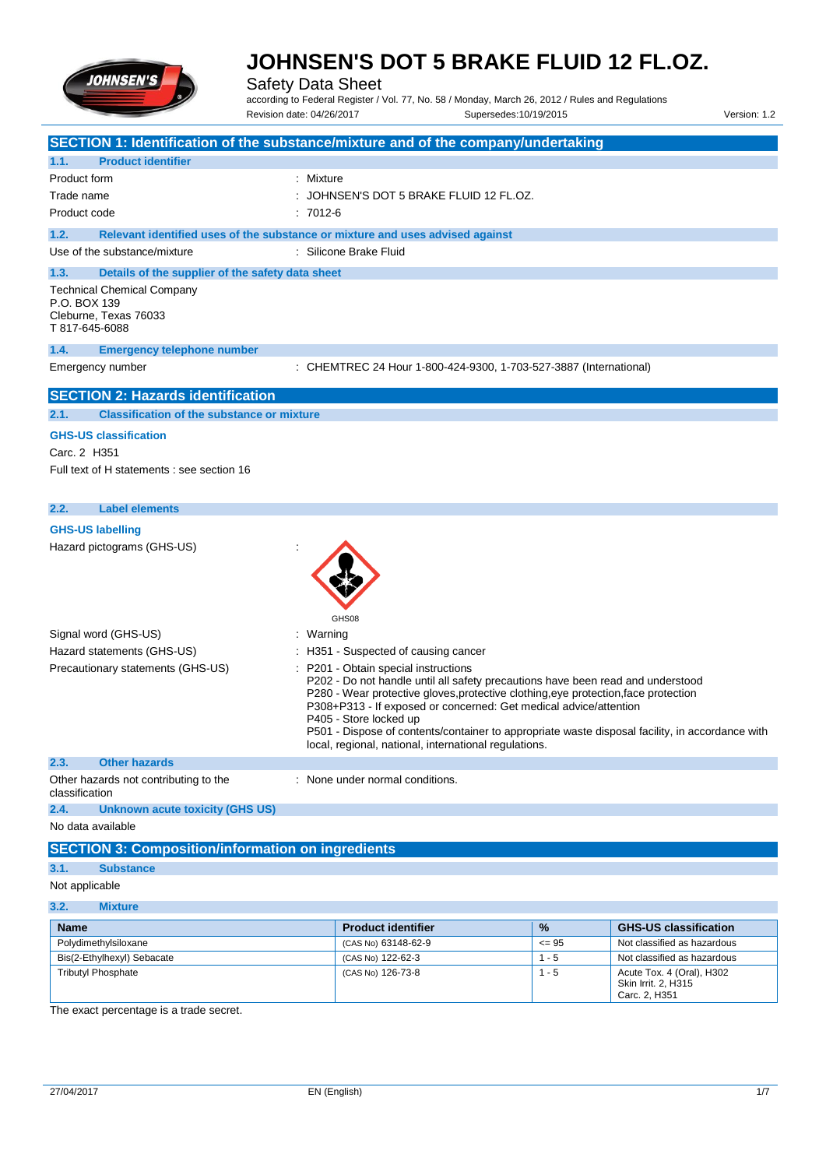

Safety Data Sheet

according to Federal Register / Vol. 77, No. 58 / Monday, March 26, 2012 / Rules and Regulations Revision date: 04/26/2017 Supersedes:10/19/2015 Version: 1.2

| SECTION 1: Identification of the substance/mixture and of the company/undertaking     |                                                                                                                                                                                                                                                                                                                                                                                                                                                                         |                                                                   |                    |                                                          |
|---------------------------------------------------------------------------------------|-------------------------------------------------------------------------------------------------------------------------------------------------------------------------------------------------------------------------------------------------------------------------------------------------------------------------------------------------------------------------------------------------------------------------------------------------------------------------|-------------------------------------------------------------------|--------------------|----------------------------------------------------------|
| <b>Product identifier</b><br>1.1.                                                     |                                                                                                                                                                                                                                                                                                                                                                                                                                                                         |                                                                   |                    |                                                          |
| Product form                                                                          | Mixture                                                                                                                                                                                                                                                                                                                                                                                                                                                                 |                                                                   |                    |                                                          |
| Trade name                                                                            |                                                                                                                                                                                                                                                                                                                                                                                                                                                                         | JOHNSEN'S DOT 5 BRAKE FLUID 12 FL.OZ.                             |                    |                                                          |
| Product code                                                                          | $:7012-6$                                                                                                                                                                                                                                                                                                                                                                                                                                                               |                                                                   |                    |                                                          |
| 1.2.<br>Relevant identified uses of the substance or mixture and uses advised against |                                                                                                                                                                                                                                                                                                                                                                                                                                                                         |                                                                   |                    |                                                          |
| Use of the substance/mixture                                                          |                                                                                                                                                                                                                                                                                                                                                                                                                                                                         | : Silicone Brake Fluid                                            |                    |                                                          |
| 1.3.<br>Details of the supplier of the safety data sheet                              |                                                                                                                                                                                                                                                                                                                                                                                                                                                                         |                                                                   |                    |                                                          |
| <b>Technical Chemical Company</b><br>P.O. BOX 139                                     |                                                                                                                                                                                                                                                                                                                                                                                                                                                                         |                                                                   |                    |                                                          |
| Cleburne, Texas 76033                                                                 |                                                                                                                                                                                                                                                                                                                                                                                                                                                                         |                                                                   |                    |                                                          |
| T 817-645-6088                                                                        |                                                                                                                                                                                                                                                                                                                                                                                                                                                                         |                                                                   |                    |                                                          |
| 1.4.<br><b>Emergency telephone number</b>                                             |                                                                                                                                                                                                                                                                                                                                                                                                                                                                         |                                                                   |                    |                                                          |
| Emergency number                                                                      |                                                                                                                                                                                                                                                                                                                                                                                                                                                                         | : CHEMTREC 24 Hour 1-800-424-9300, 1-703-527-3887 (International) |                    |                                                          |
| <b>SECTION 2: Hazards identification</b>                                              |                                                                                                                                                                                                                                                                                                                                                                                                                                                                         |                                                                   |                    |                                                          |
| <b>Classification of the substance or mixture</b><br>2.1.                             |                                                                                                                                                                                                                                                                                                                                                                                                                                                                         |                                                                   |                    |                                                          |
| <b>GHS-US classification</b>                                                          |                                                                                                                                                                                                                                                                                                                                                                                                                                                                         |                                                                   |                    |                                                          |
| Carc. 2 H351                                                                          |                                                                                                                                                                                                                                                                                                                                                                                                                                                                         |                                                                   |                    |                                                          |
| Full text of H statements : see section 16                                            |                                                                                                                                                                                                                                                                                                                                                                                                                                                                         |                                                                   |                    |                                                          |
|                                                                                       |                                                                                                                                                                                                                                                                                                                                                                                                                                                                         |                                                                   |                    |                                                          |
| <b>Label elements</b><br>2.2.                                                         |                                                                                                                                                                                                                                                                                                                                                                                                                                                                         |                                                                   |                    |                                                          |
| <b>GHS-US labelling</b>                                                               |                                                                                                                                                                                                                                                                                                                                                                                                                                                                         |                                                                   |                    |                                                          |
| Hazard pictograms (GHS-US)                                                            |                                                                                                                                                                                                                                                                                                                                                                                                                                                                         | GHS08                                                             |                    |                                                          |
| Signal word (GHS-US)                                                                  | Warning                                                                                                                                                                                                                                                                                                                                                                                                                                                                 |                                                                   |                    |                                                          |
| Hazard statements (GHS-US)                                                            |                                                                                                                                                                                                                                                                                                                                                                                                                                                                         | H351 - Suspected of causing cancer                                |                    |                                                          |
| Precautionary statements (GHS-US)                                                     | P201 - Obtain special instructions<br>P202 - Do not handle until all safety precautions have been read and understood<br>P280 - Wear protective gloves, protective clothing, eye protection, face protection<br>P308+P313 - If exposed or concerned: Get medical advice/attention<br>P405 - Store locked up<br>P501 - Dispose of contents/container to appropriate waste disposal facility, in accordance with<br>local, regional, national, international regulations. |                                                                   |                    |                                                          |
| <b>Other hazards</b><br>2.3.                                                          |                                                                                                                                                                                                                                                                                                                                                                                                                                                                         |                                                                   |                    |                                                          |
| Other hazards not contributing to the<br>classification                               |                                                                                                                                                                                                                                                                                                                                                                                                                                                                         | : None under normal conditions.                                   |                    |                                                          |
| 2.4.<br><b>Unknown acute toxicity (GHS US)</b>                                        |                                                                                                                                                                                                                                                                                                                                                                                                                                                                         |                                                                   |                    |                                                          |
| No data available                                                                     |                                                                                                                                                                                                                                                                                                                                                                                                                                                                         |                                                                   |                    |                                                          |
| <b>SECTION 3: Composition/information on ingredients</b>                              |                                                                                                                                                                                                                                                                                                                                                                                                                                                                         |                                                                   |                    |                                                          |
| 3.1.<br><b>Substance</b>                                                              |                                                                                                                                                                                                                                                                                                                                                                                                                                                                         |                                                                   |                    |                                                          |
| Not applicable                                                                        |                                                                                                                                                                                                                                                                                                                                                                                                                                                                         |                                                                   |                    |                                                          |
| 3.2.<br><b>Mixture</b>                                                                |                                                                                                                                                                                                                                                                                                                                                                                                                                                                         |                                                                   |                    |                                                          |
| <b>Name</b>                                                                           |                                                                                                                                                                                                                                                                                                                                                                                                                                                                         | <b>Product identifier</b>                                         | %                  | <b>GHS-US classification</b>                             |
| Polydimethylsiloxane                                                                  |                                                                                                                                                                                                                                                                                                                                                                                                                                                                         | (CAS No) 63148-62-9                                               | $= 95$             | Not classified as hazardous                              |
| Bis(2-Ethylhexyl) Sebacate<br><b>Tributyl Phosphate</b>                               |                                                                                                                                                                                                                                                                                                                                                                                                                                                                         | (CAS No) 122-62-3<br>(CAS No) 126-73-8                            | $1 - 5$<br>$1 - 5$ | Not classified as hazardous<br>Acute Tox. 4 (Oral), H302 |
|                                                                                       |                                                                                                                                                                                                                                                                                                                                                                                                                                                                         |                                                                   |                    | Skin Irrit. 2, H315<br>Carc. 2, H351                     |

The exact percentage is a trade secret.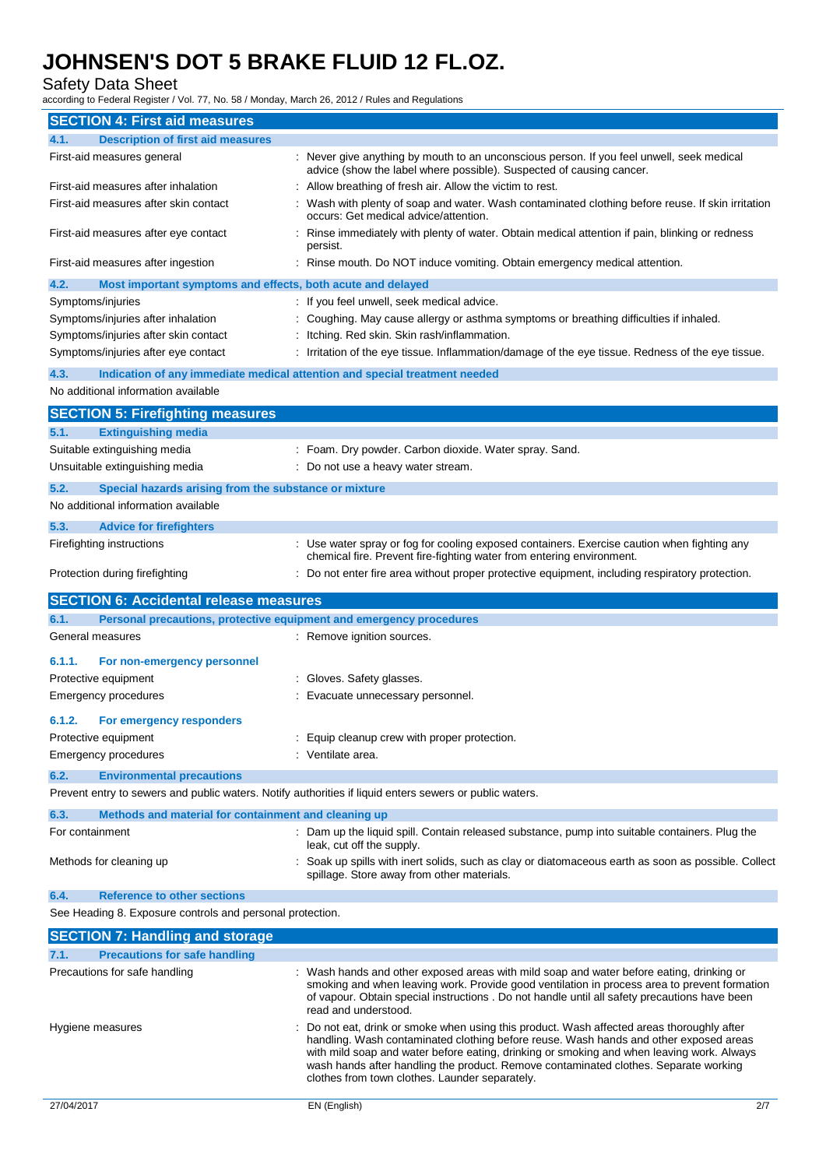# Safety Data Sheet

according to Federal Register / Vol. 77, No. 58 / Monday, March 26, 2012 / Rules and Regulations

| <b>SECTION 4: First aid measures</b>                                                                    |                                                                                                                                                                                                                                                                                                                                                                        |
|---------------------------------------------------------------------------------------------------------|------------------------------------------------------------------------------------------------------------------------------------------------------------------------------------------------------------------------------------------------------------------------------------------------------------------------------------------------------------------------|
| <b>Description of first aid measures</b><br>4.1.                                                        |                                                                                                                                                                                                                                                                                                                                                                        |
| First-aid measures general                                                                              | : Never give anything by mouth to an unconscious person. If you feel unwell, seek medical<br>advice (show the label where possible). Suspected of causing cancer.                                                                                                                                                                                                      |
| First-aid measures after inhalation                                                                     | Allow breathing of fresh air. Allow the victim to rest.                                                                                                                                                                                                                                                                                                                |
| First-aid measures after skin contact                                                                   | Wash with plenty of soap and water. Wash contaminated clothing before reuse. If skin irritation<br>occurs: Get medical advice/attention.                                                                                                                                                                                                                               |
| First-aid measures after eye contact                                                                    | Rinse immediately with plenty of water. Obtain medical attention if pain, blinking or redness<br>persist.                                                                                                                                                                                                                                                              |
| First-aid measures after ingestion                                                                      | Rinse mouth. Do NOT induce vomiting. Obtain emergency medical attention.                                                                                                                                                                                                                                                                                               |
| 4.2.<br>Most important symptoms and effects, both acute and delayed                                     |                                                                                                                                                                                                                                                                                                                                                                        |
| Symptoms/injuries                                                                                       | : If you feel unwell, seek medical advice.                                                                                                                                                                                                                                                                                                                             |
| Symptoms/injuries after inhalation                                                                      | : Coughing. May cause allergy or asthma symptoms or breathing difficulties if inhaled.                                                                                                                                                                                                                                                                                 |
| Symptoms/injuries after skin contact                                                                    | Itching. Red skin. Skin rash/inflammation.                                                                                                                                                                                                                                                                                                                             |
| Symptoms/injuries after eye contact                                                                     | : Irritation of the eye tissue. Inflammation/damage of the eye tissue. Redness of the eye tissue.                                                                                                                                                                                                                                                                      |
| 4.3.                                                                                                    | Indication of any immediate medical attention and special treatment needed                                                                                                                                                                                                                                                                                             |
| No additional information available                                                                     |                                                                                                                                                                                                                                                                                                                                                                        |
| <b>SECTION 5: Firefighting measures</b>                                                                 |                                                                                                                                                                                                                                                                                                                                                                        |
| <b>Extinguishing media</b><br>5.1.                                                                      |                                                                                                                                                                                                                                                                                                                                                                        |
| Suitable extinguishing media                                                                            | : Foam. Dry powder. Carbon dioxide. Water spray. Sand.                                                                                                                                                                                                                                                                                                                 |
| Unsuitable extinguishing media                                                                          | : Do not use a heavy water stream.                                                                                                                                                                                                                                                                                                                                     |
| 5.2.<br>Special hazards arising from the substance or mixture                                           |                                                                                                                                                                                                                                                                                                                                                                        |
| No additional information available                                                                     |                                                                                                                                                                                                                                                                                                                                                                        |
| 5.3.<br><b>Advice for firefighters</b>                                                                  |                                                                                                                                                                                                                                                                                                                                                                        |
| Firefighting instructions                                                                               | : Use water spray or fog for cooling exposed containers. Exercise caution when fighting any<br>chemical fire. Prevent fire-fighting water from entering environment.                                                                                                                                                                                                   |
| Protection during firefighting                                                                          | : Do not enter fire area without proper protective equipment, including respiratory protection.                                                                                                                                                                                                                                                                        |
| <b>SECTION 6: Accidental release measures</b>                                                           |                                                                                                                                                                                                                                                                                                                                                                        |
| Personal precautions, protective equipment and emergency procedures<br>6.1.                             |                                                                                                                                                                                                                                                                                                                                                                        |
| General measures                                                                                        | : Remove ignition sources.                                                                                                                                                                                                                                                                                                                                             |
| 6.1.1.<br>For non-emergency personnel                                                                   |                                                                                                                                                                                                                                                                                                                                                                        |
| Protective equipment                                                                                    | : Gloves. Safety glasses.                                                                                                                                                                                                                                                                                                                                              |
| Emergency procedures                                                                                    | Evacuate unnecessary personnel.                                                                                                                                                                                                                                                                                                                                        |
| 6.1.2.<br>For emergency responders                                                                      |                                                                                                                                                                                                                                                                                                                                                                        |
| Protective equipment                                                                                    | : Equip cleanup crew with proper protection.                                                                                                                                                                                                                                                                                                                           |
| Emergency procedures                                                                                    | : Ventilate area.                                                                                                                                                                                                                                                                                                                                                      |
| 6.2.<br><b>Environmental precautions</b>                                                                |                                                                                                                                                                                                                                                                                                                                                                        |
| Prevent entry to sewers and public waters. Notify authorities if liquid enters sewers or public waters. |                                                                                                                                                                                                                                                                                                                                                                        |
| 6.3.<br>Methods and material for containment and cleaning up                                            |                                                                                                                                                                                                                                                                                                                                                                        |
| For containment                                                                                         | : Dam up the liquid spill. Contain released substance, pump into suitable containers. Plug the<br>leak, cut off the supply.                                                                                                                                                                                                                                            |
| Methods for cleaning up                                                                                 | Soak up spills with inert solids, such as clay or diatomaceous earth as soon as possible. Collect<br>spillage. Store away from other materials.                                                                                                                                                                                                                        |
| <b>Reference to other sections</b><br>6.4.                                                              |                                                                                                                                                                                                                                                                                                                                                                        |
| See Heading 8. Exposure controls and personal protection.                                               |                                                                                                                                                                                                                                                                                                                                                                        |
| <b>SECTION 7: Handling and storage</b>                                                                  |                                                                                                                                                                                                                                                                                                                                                                        |
| <b>Precautions for safe handling</b><br>7.1.                                                            |                                                                                                                                                                                                                                                                                                                                                                        |
| Precautions for safe handling                                                                           | : Wash hands and other exposed areas with mild soap and water before eating, drinking or<br>smoking and when leaving work. Provide good ventilation in process area to prevent formation<br>of vapour. Obtain special instructions . Do not handle until all safety precautions have been<br>read and understood.                                                      |
| Hygiene measures                                                                                        | Do not eat, drink or smoke when using this product. Wash affected areas thoroughly after<br>handling. Wash contaminated clothing before reuse. Wash hands and other exposed areas<br>with mild soap and water before eating, drinking or smoking and when leaving work. Always<br>wash hands after handling the product. Remove contaminated clothes. Separate working |

clothes from town clothes. Launder separately.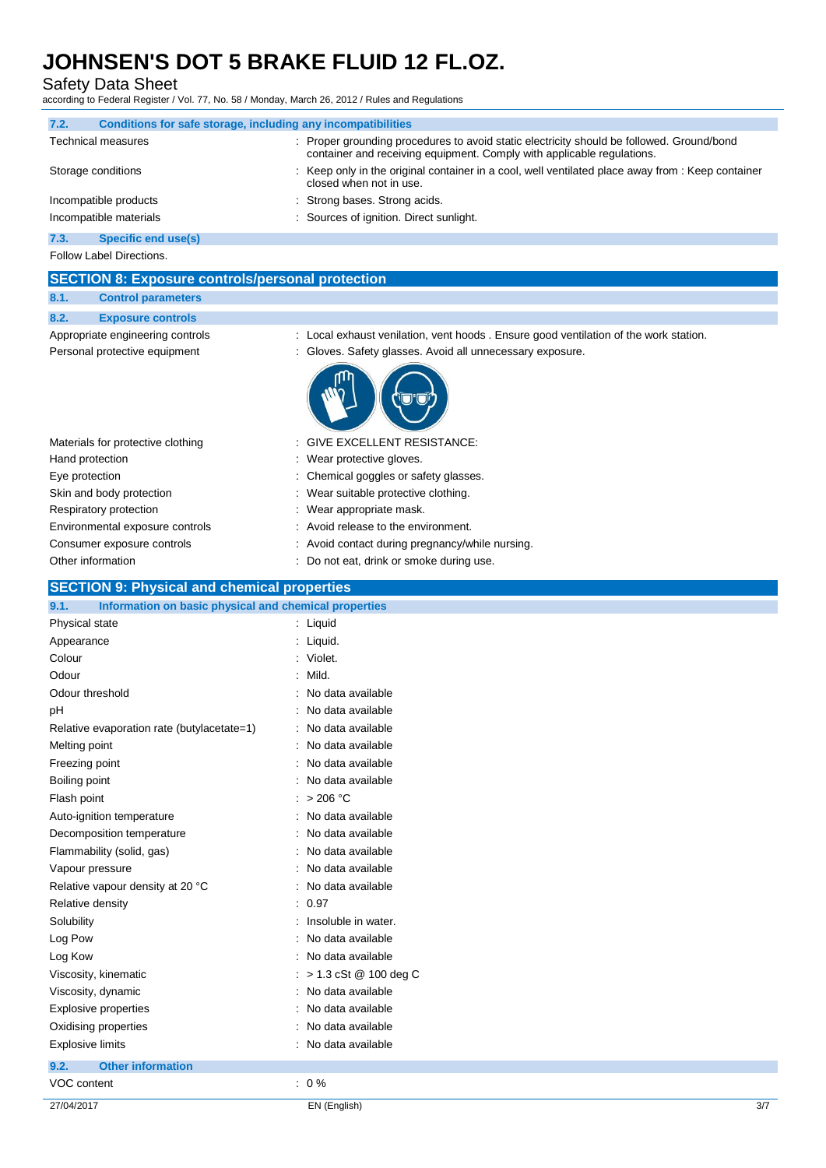Safety Data Sheet

according to Federal Register / Vol. 77, No. 58 / Monday, March 26, 2012 / Rules and Regulations

| 7.2.<br>Conditions for safe storage, including any incompatibilities |                                                                                                                                                                     |
|----------------------------------------------------------------------|---------------------------------------------------------------------------------------------------------------------------------------------------------------------|
| <b>Technical measures</b>                                            | : Proper grounding procedures to avoid static electricity should be followed. Ground/bond<br>container and receiving equipment. Comply with applicable regulations. |
| Storage conditions                                                   | : Keep only in the original container in a cool, well ventilated place away from : Keep container<br>closed when not in use.                                        |
| Incompatible products                                                | : Strong bases. Strong acids.                                                                                                                                       |
| Incompatible materials                                               | : Sources of ignition. Direct sunlight.                                                                                                                             |
| 7.3.<br><b>Specific end use(s)</b>                                   |                                                                                                                                                                     |

Follow Label Directions.

### **SECTION 8: Exposure controls/personal protection**

|                             | <b>Control parameters</b> |  |          |               |        |
|-----------------------------|---------------------------|--|----------|---------------|--------|
|                             |                           |  |          |               |        |
| $\mathbf{v}$ . $\mathbf{r}$ | <b>Exposure controls</b>  |  |          |               |        |
|                             |                           |  | $\cdots$ | $-1.11 - 1.1$ | $\sim$ |

- Appropriate engineering controls : Local exhaust venilation, vent hoods . Ensure good ventilation of the work station.
- Personal protective equipment : Gloves. Safety glasses. Avoid all unnecessary exposure.



| Materials for protective clothing | : GIVE EXCELLENT RESISTANCE:                    |
|-----------------------------------|-------------------------------------------------|
| Hand protection                   | : Wear protective gloves.                       |
| Eye protection                    | : Chemical goggles or safety glasses.           |
| Skin and body protection          | : Wear suitable protective clothing.            |
| Respiratory protection            | : Wear appropriate mask.                        |
| Environmental exposure controls   | : Avoid release to the environment.             |
| Consumer exposure controls        | : Avoid contact during pregnancy/while nursing. |
| Other information                 | : Do not eat, drink or smoke during use.        |
|                                   |                                                 |

# **SECTION 9: Physical and chemical properties**

| Information on basic physical and chemical properties<br>9.1. |                           |     |
|---------------------------------------------------------------|---------------------------|-----|
| Physical state                                                | : Liquid                  |     |
| Appearance                                                    | : Liquid.                 |     |
| Colour                                                        | Violet.                   |     |
| Odour                                                         | Mild.                     |     |
| Odour threshold                                               | No data available         |     |
| рH                                                            | No data available         |     |
| Relative evaporation rate (butylacetate=1)                    | : No data available       |     |
| Melting point                                                 | No data available         |     |
| Freezing point                                                | No data available         |     |
| Boiling point                                                 | No data available         |     |
| Flash point                                                   | >206 °C                   |     |
| Auto-ignition temperature                                     | : No data available       |     |
| Decomposition temperature                                     | No data available         |     |
| Flammability (solid, gas)                                     | No data available         |     |
| Vapour pressure                                               | No data available         |     |
| Relative vapour density at 20 °C                              | No data available         |     |
| Relative density                                              | : 0.97                    |     |
| Solubility                                                    | Insoluble in water.       |     |
| Log Pow                                                       | No data available         |     |
| Log Kow                                                       | No data available         |     |
| Viscosity, kinematic                                          | : $> 1.3$ cSt @ 100 deg C |     |
| Viscosity, dynamic                                            | No data available         |     |
| <b>Explosive properties</b>                                   | No data available         |     |
| Oxidising properties                                          | No data available         |     |
| <b>Explosive limits</b>                                       | : No data available       |     |
| <b>Other information</b><br>9.2.                              |                           |     |
| VOC content                                                   | $: 0\%$                   |     |
| 27/04/2017                                                    | EN (English)              | 3/7 |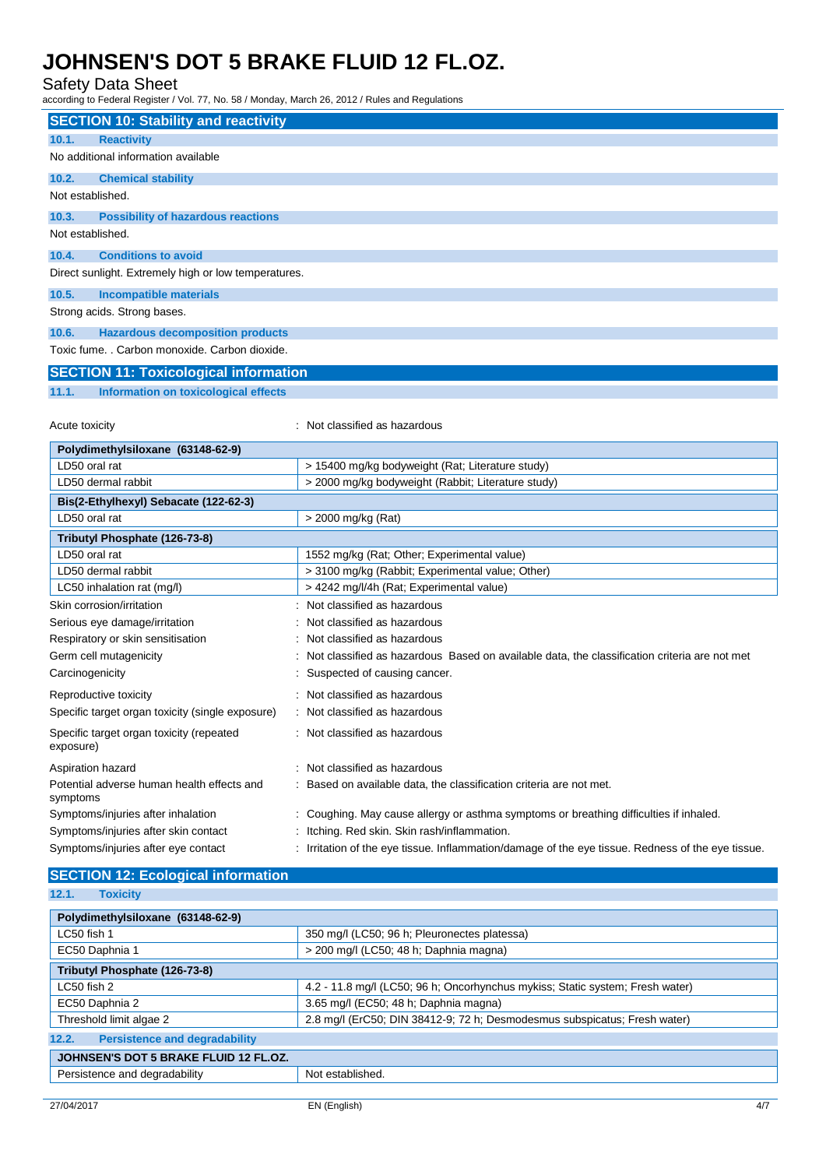Safety Data Sheet

according to Federal Register / Vol. 77, No. 58 / Monday, March 26, 2012 / Rules and Regulations

|                  | <b>SECTION 10: Stability and reactivity</b>          |
|------------------|------------------------------------------------------|
| 10.1.            | <b>Reactivity</b>                                    |
|                  | No additional information available                  |
| 10.2.            | <b>Chemical stability</b>                            |
| Not established. |                                                      |
| 10.3.            | <b>Possibility of hazardous reactions</b>            |
| Not established. |                                                      |
| 10.4.            | <b>Conditions to avoid</b>                           |
|                  | Direct sunlight. Extremely high or low temperatures. |
| 10.5.            | <b>Incompatible materials</b>                        |
|                  | Strong acids. Strong bases.                          |
| 10.6.            | <b>Hazardous decomposition products</b>              |
|                  | Toxic fume Carbon monoxide. Carbon dioxide.          |

### **SECTION 11: Toxicological information**

#### **11.1. Information on toxicological effects**

| Acute toxicity |  |
|----------------|--|
|----------------|--|

: Not classified as hazardous

| Polydimethylsiloxane (63148-62-9)                      |                                                                                                 |
|--------------------------------------------------------|-------------------------------------------------------------------------------------------------|
| LD50 oral rat                                          | > 15400 mg/kg bodyweight (Rat; Literature study)                                                |
| LD50 dermal rabbit                                     | > 2000 mg/kg bodyweight (Rabbit; Literature study)                                              |
| Bis(2-Ethylhexyl) Sebacate (122-62-3)                  |                                                                                                 |
| LD50 oral rat                                          | > 2000 mg/kg (Rat)                                                                              |
| Tributyl Phosphate (126-73-8)                          |                                                                                                 |
| LD50 oral rat                                          | 1552 mg/kg (Rat; Other; Experimental value)                                                     |
| LD50 dermal rabbit                                     | > 3100 mg/kg (Rabbit; Experimental value; Other)                                                |
| LC50 inhalation rat (mg/l)                             | > 4242 mg/l/4h (Rat; Experimental value)                                                        |
| Skin corrosion/irritation                              | Not classified as hazardous                                                                     |
| Serious eye damage/irritation                          | Not classified as hazardous                                                                     |
| Respiratory or skin sensitisation                      | Not classified as hazardous                                                                     |
| Germ cell mutagenicity                                 | Not classified as hazardous Based on available data, the classification criteria are not met    |
| Carcinogenicity                                        | Suspected of causing cancer.                                                                    |
| Reproductive toxicity                                  | Not classified as hazardous                                                                     |
| Specific target organ toxicity (single exposure)       | : Not classified as hazardous                                                                   |
| Specific target organ toxicity (repeated<br>exposure)  | : Not classified as hazardous                                                                   |
| Aspiration hazard                                      | Not classified as hazardous                                                                     |
| Potential adverse human health effects and<br>symptoms | Based on available data, the classification criteria are not met.                               |
| Symptoms/injuries after inhalation                     | Coughing. May cause allergy or asthma symptoms or breathing difficulties if inhaled.            |
| Symptoms/injuries after skin contact                   | Itching. Red skin. Skin rash/inflammation.                                                      |
| Symptoms/injuries after eye contact                    | Irritation of the eye tissue. Inflammation/damage of the eye tissue. Redness of the eye tissue. |

### **SECTION 12: Ecological information**

**12.1. Toxicity**

| Polydimethylsiloxane (63148-62-9)             |                                                                               |
|-----------------------------------------------|-------------------------------------------------------------------------------|
| LC50 fish 1                                   | 350 mg/l (LC50; 96 h; Pleuronectes platessa)                                  |
| EC50 Daphnia 1                                | > 200 mg/l (LC50; 48 h; Daphnia magna)                                        |
| Tributyl Phosphate (126-73-8)                 |                                                                               |
| LC50 fish 2                                   | 4.2 - 11.8 mg/l (LC50; 96 h; Oncorhynchus mykiss; Static system; Fresh water) |
| EC50 Daphnia 2                                | 3.65 mg/l (EC50; 48 h; Daphnia magna)                                         |
| Threshold limit algae 2                       | 2.8 mg/l (ErC50; DIN 38412-9; 72 h; Desmodesmus subspicatus; Fresh water)     |
| <b>Persistence and degradability</b><br>12.2. |                                                                               |
| JOHNSEN'S DOT 5 BRAKE FLUID 12 FL.OZ.         |                                                                               |
| Persistence and degradability                 | Not established.                                                              |
|                                               |                                                                               |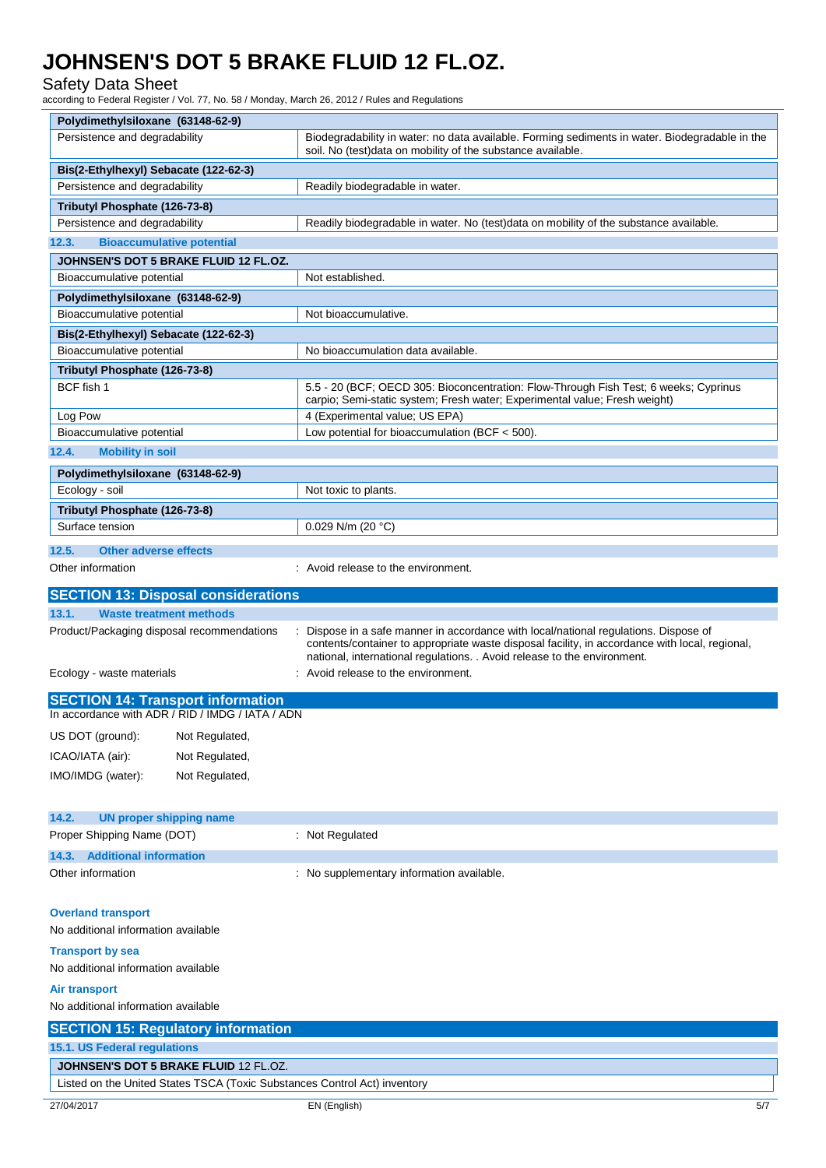# Safety Data Sheet

according to Federal Register / Vol. 77, No. 58 / Monday, March 26, 2012 / Rules and Regulations

| Polydimethylsiloxane (63148-62-9)          |                                                  |                                                                                                                                                                                                                                                                  |
|--------------------------------------------|--------------------------------------------------|------------------------------------------------------------------------------------------------------------------------------------------------------------------------------------------------------------------------------------------------------------------|
| Persistence and degradability              |                                                  | Biodegradability in water: no data available. Forming sediments in water. Biodegradable in the<br>soil. No (test) data on mobility of the substance available.                                                                                                   |
| Bis(2-Ethylhexyl) Sebacate (122-62-3)      |                                                  |                                                                                                                                                                                                                                                                  |
| Persistence and degradability              |                                                  | Readily biodegradable in water.                                                                                                                                                                                                                                  |
| Tributyl Phosphate (126-73-8)              |                                                  |                                                                                                                                                                                                                                                                  |
| Persistence and degradability              |                                                  | Readily biodegradable in water. No (test)data on mobility of the substance available.                                                                                                                                                                            |
| 12.3.<br><b>Bioaccumulative potential</b>  |                                                  |                                                                                                                                                                                                                                                                  |
|                                            | JOHNSEN'S DOT 5 BRAKE FLUID 12 FL.OZ.            |                                                                                                                                                                                                                                                                  |
| Bioaccumulative potential                  |                                                  | Not established.                                                                                                                                                                                                                                                 |
| Polydimethylsiloxane (63148-62-9)          |                                                  |                                                                                                                                                                                                                                                                  |
| Bioaccumulative potential                  |                                                  | Not bioaccumulative.                                                                                                                                                                                                                                             |
| Bis(2-Ethylhexyl) Sebacate (122-62-3)      |                                                  |                                                                                                                                                                                                                                                                  |
| Bioaccumulative potential                  |                                                  | No bioaccumulation data available.                                                                                                                                                                                                                               |
| Tributyl Phosphate (126-73-8)              |                                                  |                                                                                                                                                                                                                                                                  |
| BCF fish 1                                 |                                                  | 5.5 - 20 (BCF; OECD 305: Bioconcentration: Flow-Through Fish Test; 6 weeks; Cyprinus                                                                                                                                                                             |
|                                            |                                                  | carpio; Semi-static system; Fresh water; Experimental value; Fresh weight)                                                                                                                                                                                       |
| Log Pow                                    |                                                  | 4 (Experimental value; US EPA)                                                                                                                                                                                                                                   |
| Bioaccumulative potential                  |                                                  | Low potential for bioaccumulation (BCF $<$ 500).                                                                                                                                                                                                                 |
| 12.4.<br><b>Mobility in soil</b>           |                                                  |                                                                                                                                                                                                                                                                  |
| Polydimethylsiloxane (63148-62-9)          |                                                  |                                                                                                                                                                                                                                                                  |
| Ecology - soil                             |                                                  | Not toxic to plants.                                                                                                                                                                                                                                             |
| Tributyl Phosphate (126-73-8)              |                                                  |                                                                                                                                                                                                                                                                  |
| Surface tension                            |                                                  | 0.029 N/m (20 $°C$ )                                                                                                                                                                                                                                             |
| 12.5.<br><b>Other adverse effects</b>      |                                                  |                                                                                                                                                                                                                                                                  |
| Other information                          |                                                  | : Avoid release to the environment.                                                                                                                                                                                                                              |
|                                            |                                                  |                                                                                                                                                                                                                                                                  |
|                                            | <b>SECTION 13: Disposal considerations</b>       |                                                                                                                                                                                                                                                                  |
| 13.1.<br><b>Waste treatment methods</b>    |                                                  |                                                                                                                                                                                                                                                                  |
| Product/Packaging disposal recommendations |                                                  | Dispose in a safe manner in accordance with local/national regulations. Dispose of<br>contents/container to appropriate waste disposal facility, in accordance with local, regional,<br>national, international regulations. . Avoid release to the environment. |
| Ecology - waste materials                  |                                                  | : Avoid release to the environment.                                                                                                                                                                                                                              |
| <b>SECTION 14: Transport information</b>   |                                                  |                                                                                                                                                                                                                                                                  |
|                                            | In accordance with ADR / RID / IMDG / IATA / ADN |                                                                                                                                                                                                                                                                  |
| US DOT (ground):                           | Not Regulated,                                   |                                                                                                                                                                                                                                                                  |
| ICAO/IATA (air):                           | Not Regulated,                                   |                                                                                                                                                                                                                                                                  |
| IMO/IMDG (water):                          | Not Regulated,                                   |                                                                                                                                                                                                                                                                  |
|                                            |                                                  |                                                                                                                                                                                                                                                                  |
|                                            |                                                  |                                                                                                                                                                                                                                                                  |
| 14.2.<br><b>UN proper shipping name</b>    |                                                  |                                                                                                                                                                                                                                                                  |
| Proper Shipping Name (DOT)                 |                                                  | : Not Regulated                                                                                                                                                                                                                                                  |
| <b>Additional information</b><br>14.3.     |                                                  |                                                                                                                                                                                                                                                                  |
| Other information                          |                                                  | : No supplementary information available.                                                                                                                                                                                                                        |
|                                            |                                                  |                                                                                                                                                                                                                                                                  |
| <b>Overland transport</b>                  |                                                  |                                                                                                                                                                                                                                                                  |
| No additional information available        |                                                  |                                                                                                                                                                                                                                                                  |
| <b>Transport by sea</b>                    |                                                  |                                                                                                                                                                                                                                                                  |
| No additional information available        |                                                  |                                                                                                                                                                                                                                                                  |
| Air transport                              |                                                  |                                                                                                                                                                                                                                                                  |
| No additional information available        |                                                  |                                                                                                                                                                                                                                                                  |
|                                            |                                                  |                                                                                                                                                                                                                                                                  |
|                                            | <b>SECTION 15: Regulatory information</b>        |                                                                                                                                                                                                                                                                  |
| 15.1. US Federal regulations               |                                                  |                                                                                                                                                                                                                                                                  |
|                                            | JOHNSEN'S DOT 5 BRAKE FLUID 12 FL.OZ.            |                                                                                                                                                                                                                                                                  |
|                                            |                                                  | Listed on the United States TSCA (Toxic Substances Control Act) inventory                                                                                                                                                                                        |
| 27/04/2017                                 |                                                  | EN (English)<br>5/7                                                                                                                                                                                                                                              |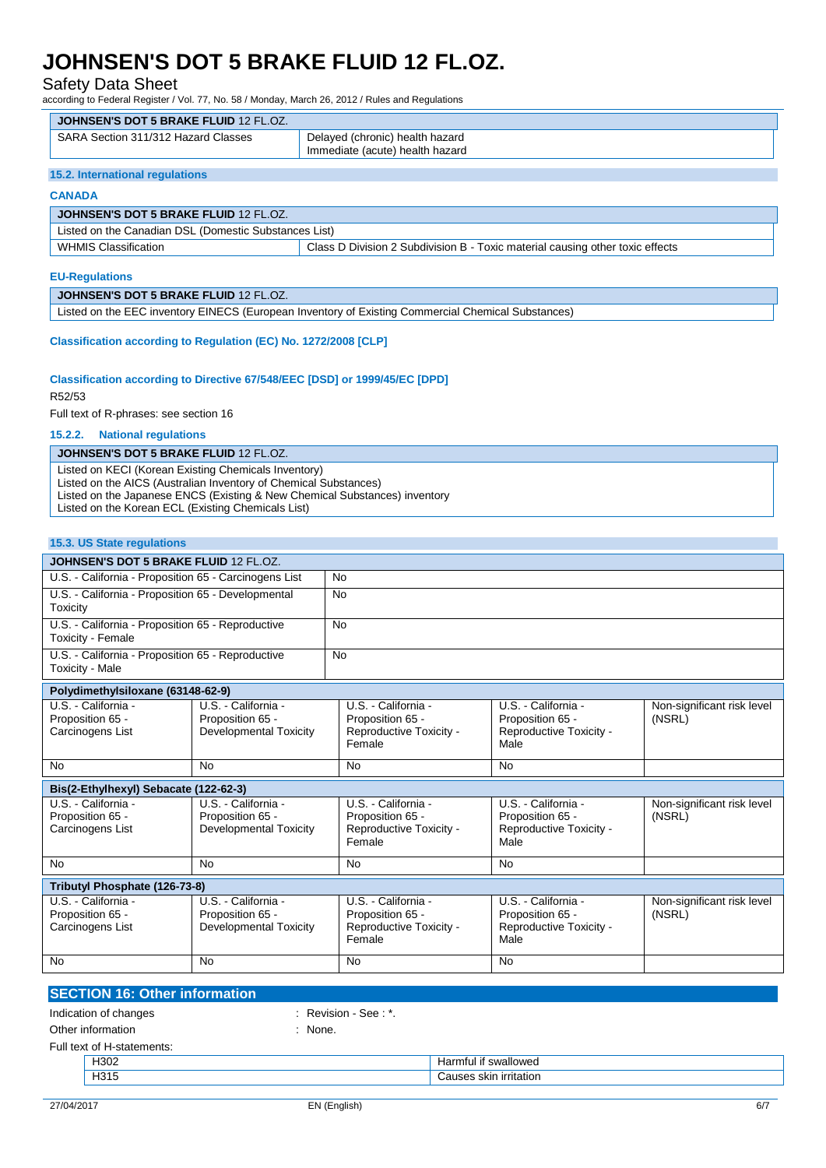Safety Data Sheet

according to Federal Register / Vol. 77, No. 58 / Monday, March 26, 2012 / Rules and Regulations

| <b>JOHNSEN'S DOT 5 BRAKE FLUID 12 FL.OZ.</b> |                                                                    |
|----------------------------------------------|--------------------------------------------------------------------|
| SARA Section 311/312 Hazard Classes          | Delayed (chronic) health hazard<br>Immediate (acute) health hazard |

#### **15.2. International regulations**

### **CANADA**

| <b>JOHNSEN'S DOT 5 BRAKE FLUID 12 FL.OZ.</b>          |                                                                               |  |  |
|-------------------------------------------------------|-------------------------------------------------------------------------------|--|--|
| Listed on the Canadian DSL (Domestic Substances List) |                                                                               |  |  |
| <b>WHMIS Classification</b>                           | Class D Division 2 Subdivision B - Toxic material causing other toxic effects |  |  |

#### **EU-Regulations**

# **JOHNSEN'S DOT 5 BRAKE FLUID** 12 FL.OZ.

Listed on the EEC inventory EINECS (European Inventory of Existing Commercial Chemical Substances)

#### **Classification according to Regulation (EC) No. 1272/2008 [CLP]**

# **Classification according to Directive 67/548/EEC [DSD] or 1999/45/EC [DPD]**

R52/53

Full text of R-phrases: see section 16

### **15.2.2. National regulations**

**JOHNSEN'S DOT 5 BRAKE FLUID** 12 FL.OZ.

Listed on KECI (Korean Existing Chemicals Inventory) Listed on the AICS (Australian Inventory of Chemical Substances) Listed on the Japanese ENCS (Existing & New Chemical Substances) inventory Listed on the Korean ECL (Existing Chemicals List)

# **15.3. US State regulations**

| JOHNSEN'S DOT 5 BRAKE FLUID 12 FL.OZ.                                       |                                                                          |                                                                              |                                                                            |                                      |  |  |
|-----------------------------------------------------------------------------|--------------------------------------------------------------------------|------------------------------------------------------------------------------|----------------------------------------------------------------------------|--------------------------------------|--|--|
| U.S. - California - Proposition 65 - Carcinogens List                       |                                                                          | <b>No</b>                                                                    |                                                                            |                                      |  |  |
| U.S. - California - Proposition 65 - Developmental<br>Toxicity              |                                                                          | <b>No</b>                                                                    |                                                                            |                                      |  |  |
| U.S. - California - Proposition 65 - Reproductive<br>Toxicity - Female      |                                                                          | <b>No</b>                                                                    |                                                                            |                                      |  |  |
| U.S. - California - Proposition 65 - Reproductive<br><b>Toxicity - Male</b> |                                                                          | <b>No</b>                                                                    |                                                                            |                                      |  |  |
| Polydimethylsiloxane (63148-62-9)                                           |                                                                          |                                                                              |                                                                            |                                      |  |  |
| U.S. - California -<br>Proposition 65 -<br>Carcinogens List                 | U.S. - California -<br>Proposition 65 -<br><b>Developmental Toxicity</b> | U.S. - California -<br>Proposition 65 -<br>Reproductive Toxicity -<br>Female | U.S. - California -<br>Proposition 65 -<br>Reproductive Toxicity -<br>Male | Non-significant risk level<br>(NSRL) |  |  |
| No                                                                          | No                                                                       | No                                                                           | No                                                                         |                                      |  |  |
| Bis(2-Ethylhexyl) Sebacate (122-62-3)                                       |                                                                          |                                                                              |                                                                            |                                      |  |  |
| U.S. California -<br>Proposition 65 -<br>Carcinogens List                   | U.S. - California -<br>Proposition 65 -<br><b>Developmental Toxicity</b> | U.S. - California -<br>Proposition 65 -<br>Reproductive Toxicity -<br>Female | U.S. - California -<br>Proposition 65 -<br>Reproductive Toxicity -<br>Male | Non-significant risk level<br>(NSRL) |  |  |
| <b>No</b>                                                                   | <b>No</b>                                                                | <b>No</b>                                                                    | <b>No</b>                                                                  |                                      |  |  |
| Tributyl Phosphate (126-73-8)                                               |                                                                          |                                                                              |                                                                            |                                      |  |  |
| U.S. California -<br>Proposition 65 -<br>Carcinogens List                   | U.S. - California -<br>Proposition 65 -<br>Developmental Toxicity        | U.S. - California -<br>Proposition 65 -<br>Reproductive Toxicity -<br>Female | U.S. - California -<br>Proposition 65 -<br>Reproductive Toxicity -<br>Male | Non-significant risk level<br>(NSRL) |  |  |
| <b>No</b>                                                                   | No                                                                       | No                                                                           | <b>No</b>                                                                  |                                      |  |  |
|                                                                             |                                                                          |                                                                              |                                                                            |                                      |  |  |

| <b>SECTION 16: Other information</b> |                            |                     |                        |  |  |  |
|--------------------------------------|----------------------------|---------------------|------------------------|--|--|--|
| Indication of changes                |                            | Revision - See : *. |                        |  |  |  |
| Other information                    |                            | None.               |                        |  |  |  |
|                                      | Full text of H-statements: |                     |                        |  |  |  |
|                                      | H302                       |                     | Harmful if swallowed   |  |  |  |
|                                      | H315                       |                     | Causes skin irritation |  |  |  |